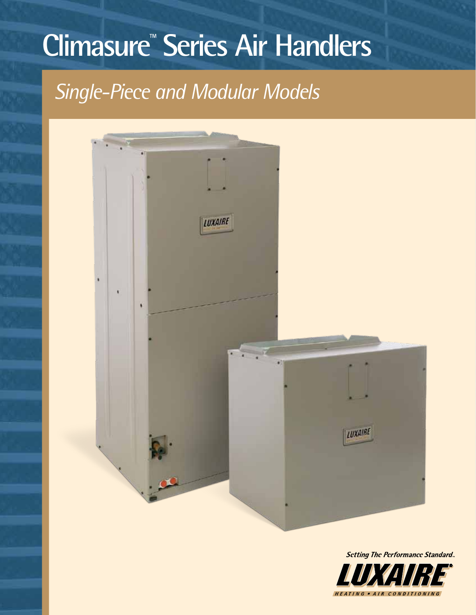# **Climasure™ Series Air Handlers**

## *Single-Piece and Modular Models*



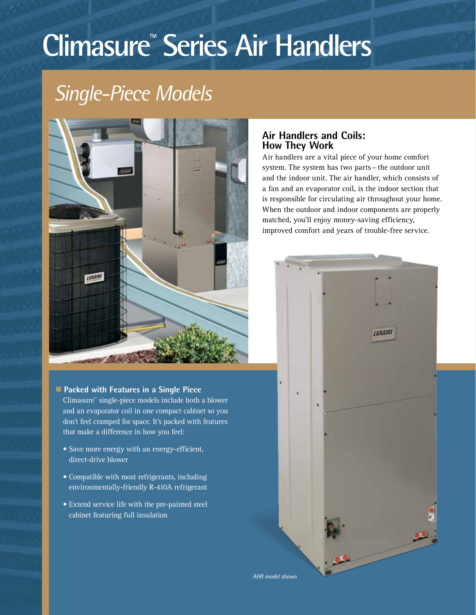# **Climasure™ Series Air Handlers**

## *Single-Piece Models*



### **n** Packed with Features in a Single Piece

Climasure™ single-piece models include both a blower and an evaporator coil in one compact cabinet so you don't feel cramped for space. It's packed with features that make a difference in how you feel:

- Save more energy with an energy-efficient, direct-drive blower
- Compatible with most refrigerants, including environmentally-friendly R-410A refrigerant
- Extend service life with the pre-painted steel cabinet featuring full insulation

### **Air Handlers and Coils: How They Work**

Air handlers are a vital piece of your home comfort system. The system has two parts—the outdoor unit and the indoor unit. The air handler, which consists of a fan and an evaporator coil, is the indoor section that is responsible for circulating air throughout your home. When the outdoor and indoor components are properly matched, you'll enjoy money-saving efficiency, improved comfort and years of trouble-free service.

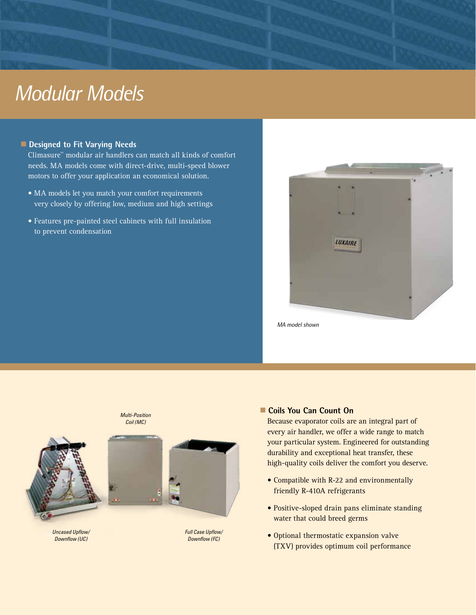### *Modular Models*

### **n** Designed to Fit Varying Needs

Climasure™ modular air handlers can match all kinds of comfort needs. MA models come with direct-drive, multi-speed blower motors to offer your application an economical solution.

- MA models let you match your comfort requirements very closely by offering low, medium and high settings
- Features pre-painted steel cabinets with full insulation to prevent condensation



*MA model shown*



*Multi-Position Coil (MC)*



*Uncased Upflow/ Downflow (UC)*

*Full Case Upflow/ Downflow (FC)*

### ■ Coils You Can Count On

Because evaporator coils are an integral part of every air handler, we offer a wide range to match your particular system. Engineered for outstanding durability and exceptional heat transfer, these high-quality coils deliver the comfort you deserve.

- Compatible with R-22 and environmentally friendly R-410A refrigerants
- Positive-sloped drain pans eliminate standing water that could breed germs
- Optional thermostatic expansion valve (TXV) provides optimum coil performance